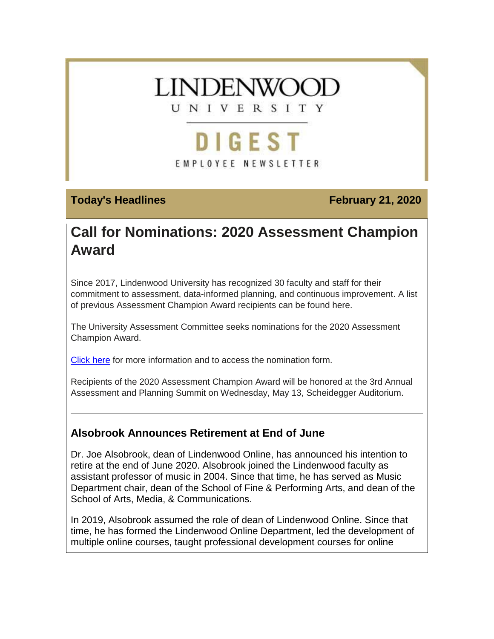

# **DIGEST** EMPLOYEE NEWSLETTER

## **Today's Headlines February 21, 2020**

# **Call for Nominations: 2020 Assessment Champion Award**

Since 2017, Lindenwood University has recognized 30 faculty and staff for their commitment to assessment, data-informed planning, and continuous improvement. A list of previous Assessment Champion Award recipients can be found here.

The University Assessment Committee seeks nominations for the 2020 Assessment Champion Award.

[Click here](https://hes32-ctp.trendmicro.com/wis/clicktime/v1/query?url=https%3a%2f%2fcustapp.marketvolt.com%2flink%2fg7ZRyvNl2i%3fCM%3d1467613645%26X%3d70525052&umid=1100d9b2-d5e6-4216-828b-f1421b18ede4&auth=bc7ac43e330fa629f0cfb11786c85e83c10d06b8-b61ca2c4151bfe7f1d41538f57abfd83d24f6f6e) for more information and to access the nomination form.

Recipients of the 2020 Assessment Champion Award will be honored at the 3rd Annual Assessment and Planning Summit on Wednesday, May 13, Scheidegger Auditorium.

# **Alsobrook Announces Retirement at End of June**

Dr. Joe Alsobrook, dean of Lindenwood Online, has announced his intention to retire at the end of June 2020. Alsobrook joined the Lindenwood faculty as assistant professor of music in 2004. Since that time, he has served as Music Department chair, dean of the School of Fine & Performing Arts, and dean of the School of Arts, Media, & Communications.

In 2019, Alsobrook assumed the role of dean of Lindenwood Online. Since that time, he has formed the Lindenwood Online Department, led the development of multiple online courses, taught professional development courses for online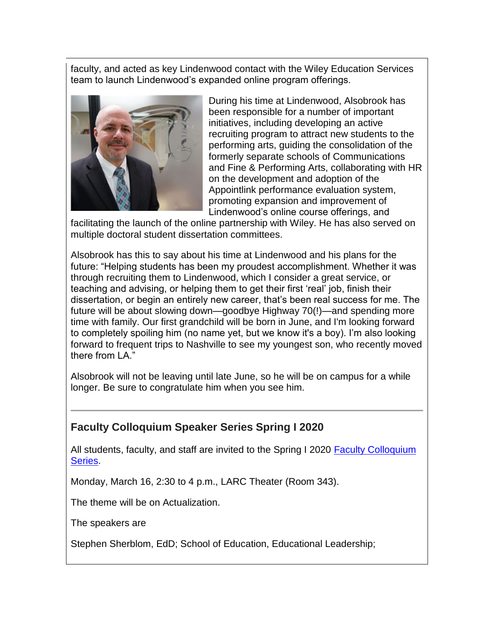faculty, and acted as key Lindenwood contact with the Wiley Education Services team to launch Lindenwood's expanded online program offerings.



During his time at Lindenwood, Alsobrook has been responsible for a number of important initiatives, including developing an active recruiting program to attract new students to the performing arts, guiding the consolidation of the formerly separate schools of Communications and Fine & Performing Arts, collaborating with HR on the development and adoption of the Appointlink performance evaluation system, promoting expansion and improvement of Lindenwood's online course offerings, and

facilitating the launch of the online partnership with Wiley. He has also served on multiple doctoral student dissertation committees.

Alsobrook has this to say about his time at Lindenwood and his plans for the future: "Helping students has been my proudest accomplishment. Whether it was through recruiting them to Lindenwood, which I consider a great service, or teaching and advising, or helping them to get their first 'real' job, finish their dissertation, or begin an entirely new career, that's been real success for me. The future will be about slowing down—goodbye Highway 70(!)—and spending more time with family. Our first grandchild will be born in June, and I'm looking forward to completely spoiling him (no name yet, but we know it's a boy). I'm also looking forward to frequent trips to Nashville to see my youngest son, who recently moved there from LA."

Alsobrook will not be leaving until late June, so he will be on campus for a while longer. Be sure to congratulate him when you see him.

# **Faculty Colloquium Speaker Series Spring I 2020**

All students, faculty, and staff are invited to the Spring I 2020 [Faculty Colloquium](https://hes32-ctp.trendmicro.com/wis/clicktime/v1/query?url=https%3a%2f%2fcustapp.marketvolt.com%2flink%2fYnSkI2cQrN%3fCM%3d1467613645%26X%3d70525052&umid=1100d9b2-d5e6-4216-828b-f1421b18ede4&auth=bc7ac43e330fa629f0cfb11786c85e83c10d06b8-c1307f1638bc153c13d44da43a33c85c9ca74dbd)  [Series.](https://hes32-ctp.trendmicro.com/wis/clicktime/v1/query?url=https%3a%2f%2fcustapp.marketvolt.com%2flink%2fYnSkI2cQrN%3fCM%3d1467613645%26X%3d70525052&umid=1100d9b2-d5e6-4216-828b-f1421b18ede4&auth=bc7ac43e330fa629f0cfb11786c85e83c10d06b8-c1307f1638bc153c13d44da43a33c85c9ca74dbd)

Monday, March 16, 2:30 to 4 p.m., LARC Theater (Room 343).

The theme will be on Actualization.

The speakers are

Stephen Sherblom, EdD; School of Education, Educational Leadership;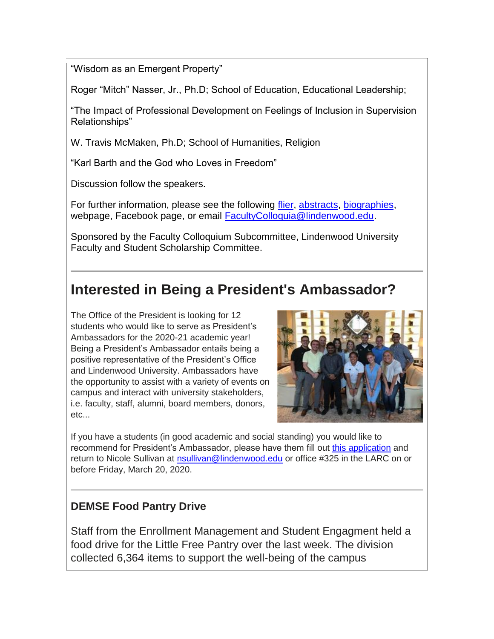"Wisdom as an Emergent Property"

Roger "Mitch" Nasser, Jr., Ph.D; School of Education, Educational Leadership;

"The Impact of Professional Development on Feelings of Inclusion in Supervision Relationships"

W. Travis McMaken, Ph.D; School of Humanities, Religion

"Karl Barth and the God who Loves in Freedom"

Discussion follow the speakers.

For further information, please see the following [flier,](https://hes32-ctp.trendmicro.com/wis/clicktime/v1/query?url=https%3a%2f%2fcustapp.marketvolt.com%2flink%2fYCWMuTbDbt%3fCM%3d1467613645%26X%3d70525052&umid=1100d9b2-d5e6-4216-828b-f1421b18ede4&auth=bc7ac43e330fa629f0cfb11786c85e83c10d06b8-1da958e7615a5e2c799feaf791b35cd3c9fab7b9) [abstracts,](https://hes32-ctp.trendmicro.com/wis/clicktime/v1/query?url=https%3a%2f%2fcustapp.marketvolt.com%2flink%2fw2zrG1rcz5%3fCM%3d1467613645%26X%3d70525052&umid=1100d9b2-d5e6-4216-828b-f1421b18ede4&auth=bc7ac43e330fa629f0cfb11786c85e83c10d06b8-b155a0821c59480b6fd2694b140ca19bf128c645) [biographies,](https://hes32-ctp.trendmicro.com/wis/clicktime/v1/query?url=https%3a%2f%2fcustapp.marketvolt.com%2flink%2fFiaSnnuGft%3fCM%3d1467613645%26X%3d70525052&umid=1100d9b2-d5e6-4216-828b-f1421b18ede4&auth=bc7ac43e330fa629f0cfb11786c85e83c10d06b8-1e0b375ac666b5d923287c4c1923c013efeb83f1) webpage, Facebook page, or email [FacultyColloquia@lindenwood.edu.](mailto:FacultyColloquia@lindenwood.edu)

Sponsored by the Faculty Colloquium Subcommittee, Lindenwood University Faculty and Student Scholarship Committee.

# **Interested in Being a President's Ambassador?**

The Office of the President is looking for 12 students who would like to serve as President's Ambassadors for the 2020-21 academic year! Being a President's Ambassador entails being a positive representative of the President's Office and Lindenwood University. Ambassadors have the opportunity to assist with a variety of events on campus and interact with university stakeholders, i.e. faculty, staff, alumni, board members, donors, etc...



If you have a students (in good academic and social standing) you would like to recommend for President's Ambassador, please have them fill out [this application](https://hes32-ctp.trendmicro.com/wis/clicktime/v1/query?url=https%3a%2f%2fcustapp.marketvolt.com%2flink%2fEsfZkEwP7s%3fCM%3d1467613645%26X%3d70525052&umid=1100d9b2-d5e6-4216-828b-f1421b18ede4&auth=bc7ac43e330fa629f0cfb11786c85e83c10d06b8-9403aef7fd598a86b7cff25605d67209d8c21952) and return to Nicole Sullivan at [nsullivan@lindenwood.edu](mailto:nsullivan@lindenwood.edu) or office #325 in the LARC on or before Friday, March 20, 2020.

# **DEMSE Food Pantry Drive**

Staff from the Enrollment Management and Student Engagment held a food drive for the Little Free Pantry over the last week. The division collected 6,364 items to support the well-being of the campus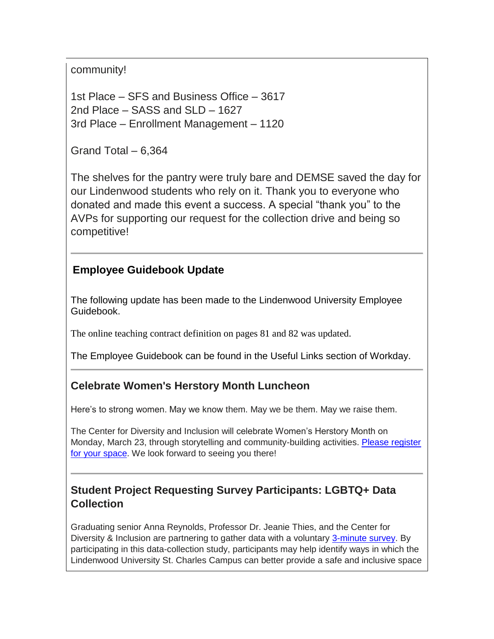community!

1st Place – SFS and Business Office – 3617 2nd Place – SASS and SLD – 1627 3rd Place – Enrollment Management – 1120

Grand Total – 6,364

The shelves for the pantry were truly bare and DEMSE saved the day for our Lindenwood students who rely on it. Thank you to everyone who donated and made this event a success. A special "thank you" to the AVPs for supporting our request for the collection drive and being so competitive!

# **Employee Guidebook Update**

The following update has been made to the Lindenwood University Employee Guidebook.

The online teaching contract definition on pages 81 and 82 was updated.

The Employee Guidebook can be found in the Useful Links section of Workday.

# **Celebrate Women's Herstory Month Luncheon**

Here's to strong women. May we know them. May we be them. May we raise them.

The Center for Diversity and Inclusion will celebrate Women's Herstory Month on Monday, March 23, through storytelling and community-building activities. [Please register](https://hes32-ctp.trendmicro.com/wis/clicktime/v1/query?url=https%3a%2f%2fcustapp.marketvolt.com%2flink%2fCMRHmMbAzx%3fCM%3d1467613645%26X%3d70525052&umid=1100d9b2-d5e6-4216-828b-f1421b18ede4&auth=bc7ac43e330fa629f0cfb11786c85e83c10d06b8-f54e5f17795f33a193820debd3f37d8a6d1d719d)  [for your space.](https://hes32-ctp.trendmicro.com/wis/clicktime/v1/query?url=https%3a%2f%2fcustapp.marketvolt.com%2flink%2fCMRHmMbAzx%3fCM%3d1467613645%26X%3d70525052&umid=1100d9b2-d5e6-4216-828b-f1421b18ede4&auth=bc7ac43e330fa629f0cfb11786c85e83c10d06b8-f54e5f17795f33a193820debd3f37d8a6d1d719d) We look forward to seeing you there!

# **Student Project Requesting Survey Participants: LGBTQ+ Data Collection**

Graduating senior Anna Reynolds, Professor Dr. Jeanie Thies, and the Center for Diversity & Inclusion are partnering to gather data with a voluntary [3-minute survey.](https://hes32-ctp.trendmicro.com/wis/clicktime/v1/query?url=https%3a%2f%2fcustapp.marketvolt.com%2flink%2fE9fIfFf78r%3fCM%3d1467613645%26X%3d70525052&umid=1100d9b2-d5e6-4216-828b-f1421b18ede4&auth=bc7ac43e330fa629f0cfb11786c85e83c10d06b8-49dc4b14b607768d1c267d32fa677b520db4b784) By participating in this data-collection study, participants may help identify ways in which the Lindenwood University St. Charles Campus can better provide a safe and inclusive space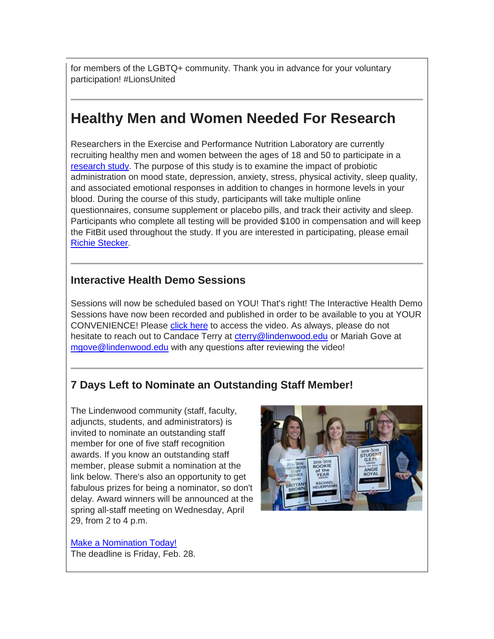for members of the LGBTQ+ community. Thank you in advance for your voluntary participation! #LionsUnited

# **Healthy Men and Women Needed For Research**

Researchers in the Exercise and Performance Nutrition Laboratory are currently recruiting healthy men and women between the ages of 18 and 50 to participate in a [research study.](https://hes32-ctp.trendmicro.com/wis/clicktime/v1/query?url=https%3a%2f%2fcustapp.marketvolt.com%2flink%2fFBNYSzXZow%3fCM%3d1467613645%26X%3d70525052&umid=1100d9b2-d5e6-4216-828b-f1421b18ede4&auth=bc7ac43e330fa629f0cfb11786c85e83c10d06b8-26a87c4e09727b923d8ec22fec7a2b7e93ecb4a1) The purpose of this study is to examine the impact of probiotic administration on mood state, depression, anxiety, stress, physical activity, sleep quality, and associated emotional responses in addition to changes in hormone levels in your blood. During the course of this study, participants will take multiple online questionnaires, consume supplement or placebo pills, and track their activity and sleep. Participants who complete all testing will be provided \$100 in compensation and will keep the FitBit used throughout the study. If you are interested in participating, please email [Richie Stecker.](mailto:rstecker@lindenwood.edu)

## **Interactive Health Demo Sessions**

Sessions will now be scheduled based on YOU! That's right! The Interactive Health Demo Sessions have now been recorded and published in order to be available to you at YOUR CONVENIENCE! Please [click here](https://hes32-ctp.trendmicro.com/wis/clicktime/v1/query?url=https%3a%2f%2fcustapp.marketvolt.com%2flink%2fQF3hHk9tBy%3fCM%3d1467613645%26X%3d70525052&umid=1100d9b2-d5e6-4216-828b-f1421b18ede4&auth=bc7ac43e330fa629f0cfb11786c85e83c10d06b8-2267e3cfc4c13254dc29ffdc6c990e1ba58ecdc3) to access the video. As always, please do not hesitate to reach out to Candace Terry at [cterry@lindenwood.edu](mailto:cterry@lindenwood.edu) or Mariah Gove at [mgove@lindenwood.edu](mailto:mgove@lindenwood.edu) with any questions after reviewing the video!

# **7 Days Left to Nominate an Outstanding Staff Member!**

The Lindenwood community (staff, faculty, adjuncts, students, and administrators) is invited to nominate an outstanding staff member for one of five staff recognition awards. If you know an outstanding staff member, please submit a nomination at the link below. There's also an opportunity to get fabulous prizes for being a nominator, so don't delay. Award winners will be announced at the spring all-staff meeting on Wednesday, April 29, from 2 to 4 p.m.



[Make a Nomination Today!](https://hes32-ctp.trendmicro.com/wis/clicktime/v1/query?url=https%3a%2f%2fcustapp.marketvolt.com%2flink%2fLMh1p4THA5%3fCM%3d1467613645%26X%3d70525052&umid=1100d9b2-d5e6-4216-828b-f1421b18ede4&auth=bc7ac43e330fa629f0cfb11786c85e83c10d06b8-4d10be3b75f1c9afb0eac4970030d2a1e6e8d845) The deadline is Friday, Feb. 28.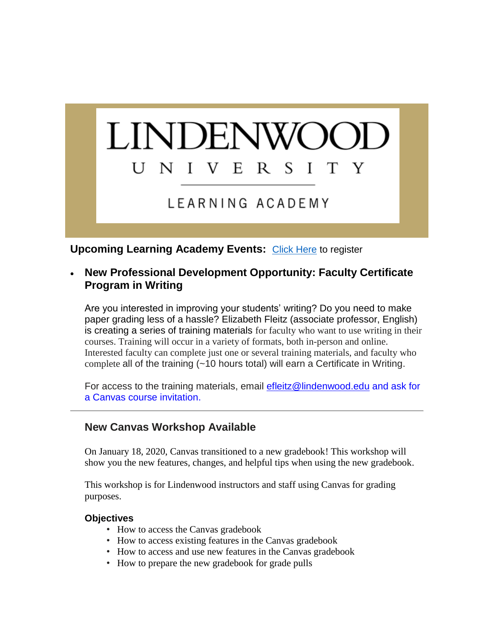#### **LINDENWO** U N V E  $R_{\perp}$ S I T Y  $\mathbf{I}$

LEARNING ACADEMY

**Upcoming Learning Academy Events:** [Click Here](https://hes32-ctp.trendmicro.com/wis/clicktime/v1/query?url=https%3a%2f%2fcustapp.marketvolt.com%2flink%2fGgs8XwT9Vl%3fCM%3d1467613645%26X%3d70525052&umid=1100d9b2-d5e6-4216-828b-f1421b18ede4&auth=bc7ac43e330fa629f0cfb11786c85e83c10d06b8-704f473945430d5c0c38fccdd97afb96ce663557) to register

 **New Professional Development Opportunity: Faculty Certificate Program in Writing**

Are you interested in improving your students' writing? Do you need to make paper grading less of a hassle? Elizabeth Fleitz (associate professor, English) is creating a series of training materials for faculty who want to use writing in their courses. Training will occur in a variety of formats, both in-person and online. Interested faculty can complete just one or several training materials, and faculty who complete all of the training (~10 hours total) will earn a Certificate in Writing.

For access to the training materials, email [efleitz@lindenwood.edu](mailto:efleitz@lindenwood.edu) and ask for a Canvas course invitation.

# **New Canvas Workshop Available**

On January 18, 2020, Canvas transitioned to a new gradebook! This workshop will show you the new features, changes, and helpful tips when using the new gradebook.

This workshop is for Lindenwood instructors and staff using Canvas for grading purposes.

### **Objectives**

- How to access the Canvas gradebook
- How to access existing features in the Canvas gradebook
- How to access and use new features in the Canvas gradebook
- How to prepare the new gradebook for grade pulls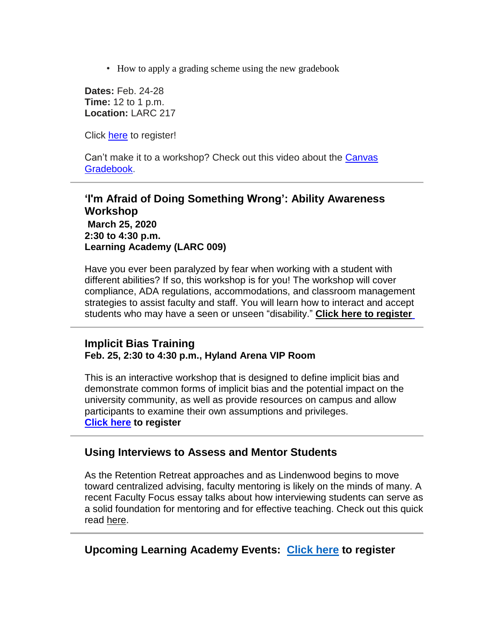• How to apply a grading scheme using the new gradebook

**Dates:** Feb. 24-28 **Time:** 12 to 1 p.m. **Location:** LARC 217

Click [here](https://hes32-ctp.trendmicro.com/wis/clicktime/v1/query?url=https%3a%2f%2fcustapp.marketvolt.com%2flink%2fGgs8XwT9Vl%3fCM%3d1467613645%26X%3d70525052&umid=1100d9b2-d5e6-4216-828b-f1421b18ede4&auth=bc7ac43e330fa629f0cfb11786c85e83c10d06b8-704f473945430d5c0c38fccdd97afb96ce663557) to register!

Can't make it to a workshop? Check out this video about the [Canvas](https://hes32-ctp.trendmicro.com/wis/clicktime/v1/query?url=https%3a%2f%2fcustapp.marketvolt.com%2flink%2ftioADNret9%3fCM%3d1467613645%26X%3d70525052&umid=1100d9b2-d5e6-4216-828b-f1421b18ede4&auth=bc7ac43e330fa629f0cfb11786c85e83c10d06b8-b969f5b00a87df964548e5cd5e37e0b72c974a9d) [Gradebook.](https://hes32-ctp.trendmicro.com/wis/clicktime/v1/query?url=https%3a%2f%2fcustapp.marketvolt.com%2flink%2ftioADNret9%3fCM%3d1467613645%26X%3d70525052&umid=1100d9b2-d5e6-4216-828b-f1421b18ede4&auth=bc7ac43e330fa629f0cfb11786c85e83c10d06b8-b969f5b00a87df964548e5cd5e37e0b72c974a9d)

**'I'm Afraid of Doing Something Wrong': Ability Awareness Workshop March 25, 2020 2:30 to 4:30 p.m. Learning Academy (LARC 009)**

Have you ever been paralyzed by fear when working with a student with different abilities? If so, this workshop is for you! The workshop will cover compliance, ADA regulations, accommodations, and classroom management strategies to assist faculty and staff. You will learn how to interact and accept students who may have a seen or unseen "disability." **[Click](https://hes32-ctp.trendmicro.com/wis/clicktime/v1/query?url=https%3a%2f%2fcustapp.marketvolt.com%2flink%2fyyPvf2fXPc%3fCM%3d1467613645%26X%3d70525052&umid=1100d9b2-d5e6-4216-828b-f1421b18ede4&auth=bc7ac43e330fa629f0cfb11786c85e83c10d06b8-b009dbbee41fcec5486da07bbb501280eb4d57bb) here to [register](https://hes32-ctp.trendmicro.com/wis/clicktime/v1/query?url=https%3a%2f%2fcustapp.marketvolt.com%2flink%2fyyPvf2fXPc%3fCM%3d1467613645%26X%3d70525052&umid=1100d9b2-d5e6-4216-828b-f1421b18ede4&auth=bc7ac43e330fa629f0cfb11786c85e83c10d06b8-b009dbbee41fcec5486da07bbb501280eb4d57bb)**

### **Implicit Bias Training Feb. 25, 2:30 to 4:30 p.m., Hyland Arena VIP Room**

This is an interactive workshop that is designed to define implicit bias and demonstrate common forms of implicit bias and the potential impact on the university community, as well as provide resources on campus and allow participants to examine their own assumptions and privileges. **[Click](https://hes32-ctp.trendmicro.com/wis/clicktime/v1/query?url=https%3a%2f%2fcustapp.marketvolt.com%2flink%2fQCZSHxoEKb%3fCM%3d1467613645%26X%3d70525052&umid=1100d9b2-d5e6-4216-828b-f1421b18ede4&auth=bc7ac43e330fa629f0cfb11786c85e83c10d06b8-1414348de6c3caa3b6b0e9e0d33c26ef60fcf6a2) here to register**

### **Using Interviews to Assess and Mentor Students**

As the Retention Retreat approaches and as Lindenwood begins to move toward centralized advising, faculty mentoring is likely on the minds of many. A recent Faculty Focus essay talks about how interviewing students can serve as a solid foundation for mentoring and for effective teaching. Check out this quick read [here.](https://hes32-ctp.trendmicro.com/wis/clicktime/v1/query?url=https%3a%2f%2fcustapp.marketvolt.com%2flink%2f9icQ8rRRhe%3fCM%3d1467613645%26X%3d70525052&umid=1100d9b2-d5e6-4216-828b-f1421b18ede4&auth=bc7ac43e330fa629f0cfb11786c85e83c10d06b8-d404bcebc3bcaf31f83babf0fc06e440a2aeaf2e)

### **Upcoming Learning Academy Events: [Click here](https://hes32-ctp.trendmicro.com/wis/clicktime/v1/query?url=https%3a%2f%2fcustapp.marketvolt.com%2flink%2fGgs8XwT9Vl%3fCM%3d1467613645%26X%3d70525052&umid=1100d9b2-d5e6-4216-828b-f1421b18ede4&auth=bc7ac43e330fa629f0cfb11786c85e83c10d06b8-704f473945430d5c0c38fccdd97afb96ce663557) to register**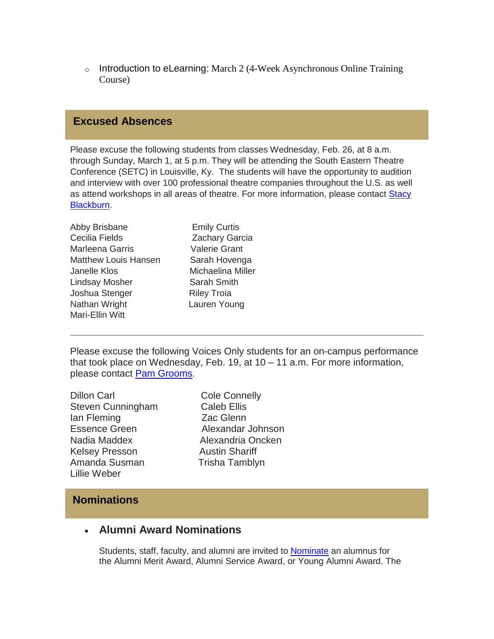o Introduction to eLearning: March 2 (4-Week Asynchronous Online Training Course)

### **Excused Absences**

Please excuse the following students from classes Wednesday, Feb. 26, at 8 a.m. through Sunday, March 1, at 5 p.m. They will be attending the South Eastern Theatre Conference (SETC) in Louisville, Ky. The students will have the opportunity to audition and interview with over 100 professional theatre companies throughout the U.S. as well as attend workshops in all areas of theatre. For more information, please contact [Stacy](mailto:sblackburn1@lindenwood.edu)  [Blackburn.](mailto:sblackburn1@lindenwood.edu)

| Abby Brisbane        |  |
|----------------------|--|
| Cecilia Fields       |  |
| Marleena Garris      |  |
| Matthew Louis Hansen |  |
| Janelle Klos         |  |
| Lindsay Mosher       |  |
| Joshua Stenger       |  |
| Nathan Wright        |  |
| Mari-Ellin Witt      |  |
|                      |  |

**Emily Curtis** Zachary Garcia Valerie Grant Sarah Hovenga Michaelina Miller Sarah Smith Riley Troia Lauren Young

Please excuse the following Voices Only students for an on-campus performance that took place on Wednesday, Feb. 19, at 10 – 11 a.m. For more information, please contact Pam [Grooms.](mailto:pgrooms@lindenwood.edu)

Dillon Carl Cole Connelly Steven Cunningham Caleb Ellis Ian Fleming **Zac Glenn** Essence Green Alexandar Johnson Nadia Maddex Alexandria Oncken Kelsey Presson Austin Shariff Amanda Susman Trisha Tamblyn Lillie Weber

### **Nominations**

### **Alumni Award Nominations**

Students, staff, faculty, and alumni are invited to [Nominate](https://hes32-ctp.trendmicro.com/wis/clicktime/v1/query?url=https%3a%2f%2fcustapp.marketvolt.com%2flink%2fckmblo2VMi%3fCM%3d1467613645%26X%3d70525052&umid=1100d9b2-d5e6-4216-828b-f1421b18ede4&auth=bc7ac43e330fa629f0cfb11786c85e83c10d06b8-ce6124107e8da20400ade67ebb993e48b7fb8562) an alumnus for the Alumni Merit Award, Alumni Service Award, or Young Alumni Award. The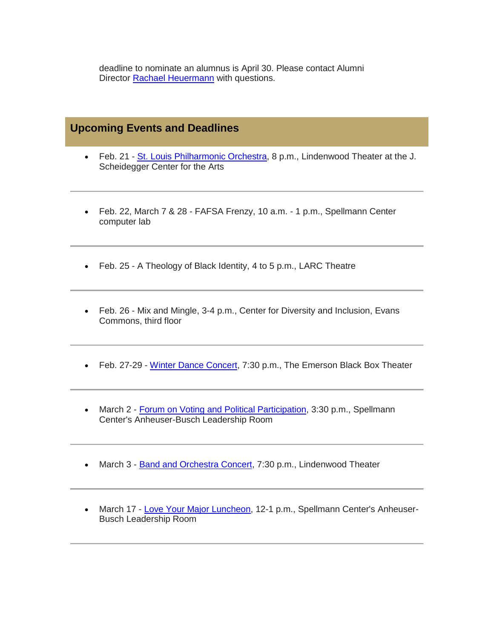deadline to nominate an alumnus is April 30. Please contact Alumni Director [Rachael Heuermann](mailto:rheuermann@lindenwood.edu) with questions.

### **Upcoming Events and Deadlines**

- Feb. 21 [St. Louis Philharmonic Orchestra,](https://hes32-ctp.trendmicro.com/wis/clicktime/v1/query?url=https%3a%2f%2fcustapp.marketvolt.com%2flink%2fK7sfGif7RY%3fCM%3d1467613645%26X%3d70525052&umid=1100d9b2-d5e6-4216-828b-f1421b18ede4&auth=bc7ac43e330fa629f0cfb11786c85e83c10d06b8-42cc9f15687a991532caddf1b9be72f77c9cce35) 8 p.m., Lindenwood Theater at the J. Scheidegger Center for the Arts
- Feb. 22, March 7 & 28 FAFSA Frenzy, 10 a.m. 1 p.m., Spellmann Center computer lab
- Feb. 25 A Theology of Black Identity, 4 to 5 p.m., LARC Theatre
- Feb. 26 Mix and Mingle, 3-4 p.m., Center for Diversity and Inclusion, Evans Commons, third floor
- Feb. 27-29 [Winter Dance Concert,](https://hes32-ctp.trendmicro.com/wis/clicktime/v1/query?url=https%3a%2f%2fcustapp.marketvolt.com%2flink%2fYT3fvFdofN%3fCM%3d1467613645%26X%3d70525052&umid=1100d9b2-d5e6-4216-828b-f1421b18ede4&auth=bc7ac43e330fa629f0cfb11786c85e83c10d06b8-d353264170b75a97afe8bfc371306f6b164c6621) 7:30 p.m., The Emerson Black Box Theater
- March 2 [Forum on Voting and Political Participation,](https://hes32-ctp.trendmicro.com/wis/clicktime/v1/query?url=https%3a%2f%2fcustapp.marketvolt.com%2flink%2ffKvTcZdoMo%3fCM%3d1467613645%26X%3d70525052&umid=1100d9b2-d5e6-4216-828b-f1421b18ede4&auth=bc7ac43e330fa629f0cfb11786c85e83c10d06b8-809aecde1671a04ed0a789c256b762b856881c38) 3:30 p.m., Spellmann Center's Anheuser-Busch Leadership Room
- March 3 **Band and Orchestra Concert**, 7:30 p.m., Lindenwood Theater
- March 17 [Love Your Major Luncheon,](https://hes32-ctp.trendmicro.com/wis/clicktime/v1/query?url=https%3a%2f%2fcustapp.marketvolt.com%2flink%2f5C4M5nfeak%3fCM%3d1467613645%26X%3d70525052&umid=1100d9b2-d5e6-4216-828b-f1421b18ede4&auth=bc7ac43e330fa629f0cfb11786c85e83c10d06b8-0682a860262f801893ec90705656ed2d79d7b560) 12-1 p.m., Spellmann Center's Anheuser-Busch Leadership Room